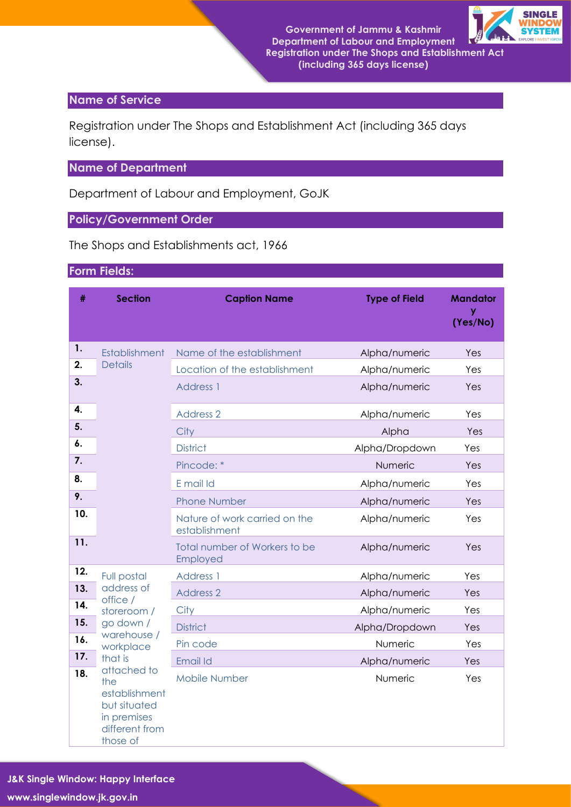**Government of Jammu & Kashmir Department of Labour and Employment Registration under The Shops and Establishment Act (including 365 days license)**



#### **Name of Service**

Registration under The Shops and Establishment Act (including 365 days license).

### **Name of Department**

Department of Labour and Employment, GoJK

### **Policy/Government Order**

The Shops and Establishments act, 1966

### **Form Fields:**

| #          | <b>Section</b>                                                                            | <b>Caption Name</b>                            | <b>Type of Field</b> | <b>Mandator</b><br>y<br>(Yes/No) |  |
|------------|-------------------------------------------------------------------------------------------|------------------------------------------------|----------------------|----------------------------------|--|
| 1.         | Establishment                                                                             | Name of the establishment                      | Alpha/numeric        | Yes                              |  |
| 2.         | <b>Details</b>                                                                            | Location of the establishment                  | Alpha/numeric        | Yes                              |  |
| 3.         |                                                                                           | Address 1                                      | Alpha/numeric        | Yes                              |  |
| 4.         |                                                                                           | <b>Address 2</b>                               | Alpha/numeric        | Yes                              |  |
| 5.         |                                                                                           | City                                           | Alpha                | Yes                              |  |
| 6.         |                                                                                           | <b>District</b>                                | Alpha/Dropdown       | Yes                              |  |
| 7.         |                                                                                           | Pincode: *                                     | Numeric              | Yes                              |  |
| 8.         |                                                                                           | E mail Id                                      | Alpha/numeric        | Yes                              |  |
| 9.         |                                                                                           | <b>Phone Number</b>                            | Alpha/numeric        | Yes                              |  |
| 10.        |                                                                                           | Nature of work carried on the<br>establishment | Alpha/numeric        | Yes                              |  |
| 11.        |                                                                                           | Total number of Workers to be<br>Employed      | Alpha/numeric        | Yes                              |  |
| 12.        | <b>Full postal</b>                                                                        | Address 1                                      | Alpha/numeric        | Yes                              |  |
| 13.        | address of<br>office /                                                                    | <b>Address 2</b>                               | Alpha/numeric        | Yes                              |  |
| 14.        | storeroom /                                                                               | City                                           | Alpha/numeric        | Yes                              |  |
| 15.        | go down /<br>warehouse /                                                                  | <b>District</b>                                | Alpha/Dropdown       | Yes                              |  |
| 16.        | workplace                                                                                 | Pin code                                       | Numeric              | Yes                              |  |
| 17.        | that is                                                                                   | Email Id                                       | Alpha/numeric        | Yes                              |  |
| 18.<br>the | attached to<br>establishment<br>but situated<br>in premises<br>different from<br>those of | <b>Mobile Number</b>                           | Numeric              | Yes                              |  |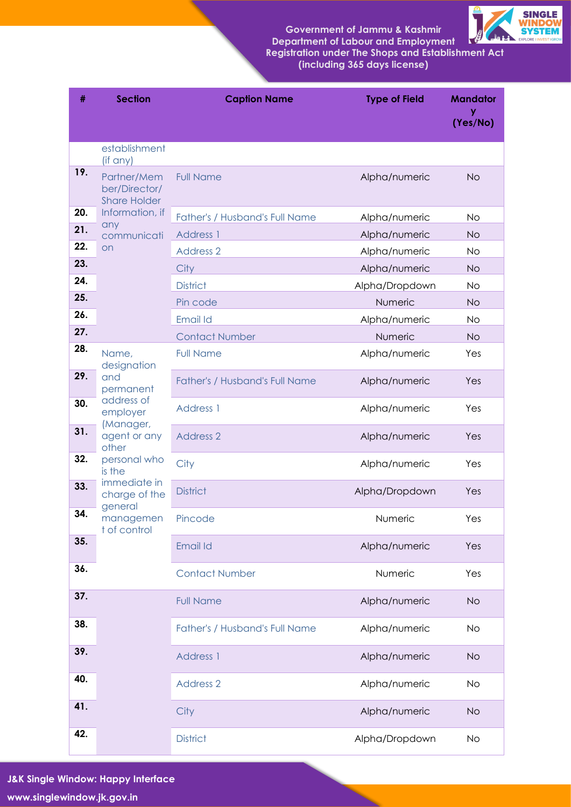**Government of Jammu & Kashmir Department of Labour and Employment Registration under The Shops and Establishment Act** 

**(including 365 days license)**



| #   | <b>Section</b>                                      | <b>Caption Name</b>                   | <b>Type of Field</b> | <b>Mandator</b><br>v<br>(Yes/No) |  |
|-----|-----------------------------------------------------|---------------------------------------|----------------------|----------------------------------|--|
|     | establishment                                       |                                       |                      |                                  |  |
|     | (if any)                                            |                                       |                      |                                  |  |
| 19. | Partner/Mem<br>ber/Director/<br><b>Share Holder</b> | <b>Full Name</b>                      | Alpha/numeric        | <b>No</b>                        |  |
| 20. | Information, if<br>any                              | Father's / Husband's Full Name        | Alpha/numeric        | <b>No</b>                        |  |
| 21. | communicati                                         | <b>Address 1</b>                      | Alpha/numeric        | <b>No</b>                        |  |
| 22. | <b>on</b>                                           | <b>Address 2</b>                      | Alpha/numeric        | <b>No</b>                        |  |
| 23. |                                                     | City                                  | Alpha/numeric        | <b>No</b>                        |  |
| 24. |                                                     | <b>District</b>                       | Alpha/Dropdown       | <b>No</b>                        |  |
| 25. |                                                     | Pin code                              | Numeric              | <b>No</b>                        |  |
| 26. |                                                     | Email Id                              | Alpha/numeric        | No                               |  |
| 27. |                                                     | <b>Contact Number</b>                 | Numeric              | <b>No</b>                        |  |
| 28. | Name,<br>designation                                | <b>Full Name</b>                      | Alpha/numeric        | Yes                              |  |
| 29. | and<br>permanent                                    | <b>Father's / Husband's Full Name</b> | Alpha/numeric        | Yes                              |  |
| 30. | address of<br>employer                              | <b>Address 1</b>                      | Alpha/numeric        | Yes                              |  |
| 31. | (Manager,<br>agent or any<br>other                  | <b>Address 2</b>                      | Alpha/numeric        | Yes                              |  |
| 32. | personal who<br>is the                              | City                                  | Alpha/numeric        | Yes                              |  |
| 33. | immediate in<br>charge of the                       | <b>District</b>                       | Alpha/Dropdown       | Yes                              |  |
| 34. | general<br>managemen<br>t of control                | Pincode                               | Numeric              | Yes                              |  |
| 35. |                                                     | <b>Email Id</b>                       | Alpha/numeric        | Yes                              |  |
| 36. |                                                     | <b>Contact Number</b>                 | Numeric              | Yes                              |  |
| 37. |                                                     | <b>Full Name</b>                      | Alpha/numeric        | <b>No</b>                        |  |
| 38. |                                                     | Father's / Husband's Full Name        | Alpha/numeric        | <b>No</b>                        |  |
| 39. |                                                     | <b>Address 1</b>                      | Alpha/numeric        | <b>No</b>                        |  |
| 40. |                                                     | <b>Address 2</b>                      | Alpha/numeric        | <b>No</b>                        |  |
| 41. |                                                     | City                                  | Alpha/numeric        | <b>No</b>                        |  |
| 42. |                                                     | <b>District</b>                       | Alpha/Dropdown       | No                               |  |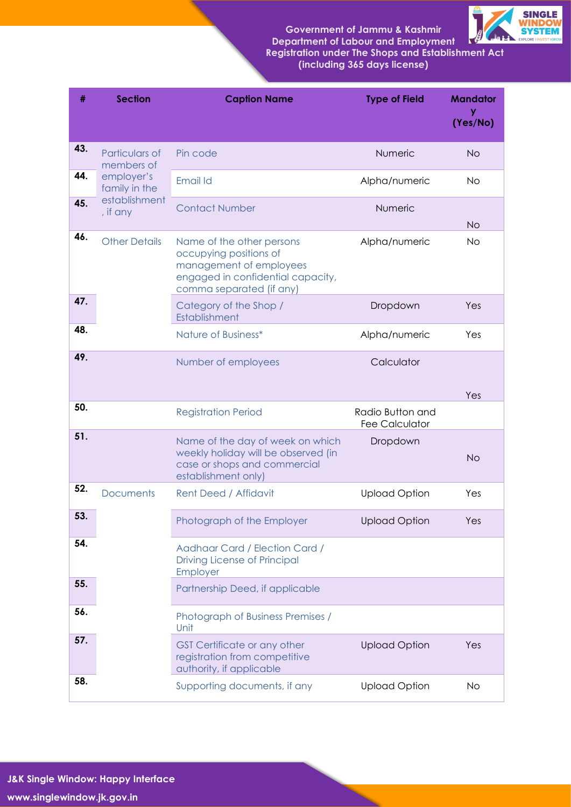**Government of Jammu & Kashmir Department of Labour and Employment Registration under The Shops and Establishment Act** 





| #   | <b>Section</b>               | <b>Caption Name</b>                                                                                                                             | <b>Type of Field</b>                      | <b>Mandator</b><br>(Yes/No) |  |  |
|-----|------------------------------|-------------------------------------------------------------------------------------------------------------------------------------------------|-------------------------------------------|-----------------------------|--|--|
| 43. | Particulars of<br>members of | Pin code                                                                                                                                        | Numeric                                   | <b>No</b>                   |  |  |
| 44. | employer's<br>family in the  | Email Id                                                                                                                                        | Alpha/numeric                             | <b>No</b>                   |  |  |
| 45. | establishment<br>, if any    | <b>Contact Number</b>                                                                                                                           | Numeric                                   | <b>No</b>                   |  |  |
| 46. | <b>Other Details</b>         | Name of the other persons<br>occupying positions of<br>management of employees<br>engaged in confidential capacity,<br>comma separated (if any) | Alpha/numeric                             | <b>No</b>                   |  |  |
| 47. |                              | Category of the Shop /<br>Establishment                                                                                                         | Dropdown                                  | Yes                         |  |  |
| 48. |                              | Nature of Business*                                                                                                                             | Alpha/numeric                             | Yes                         |  |  |
| 49. |                              | Number of employees                                                                                                                             | Calculator                                | Yes                         |  |  |
| 50. |                              | <b>Registration Period</b>                                                                                                                      | Radio Button and<br><b>Fee Calculator</b> |                             |  |  |
| 51. |                              | Name of the day of week on which<br>weekly holiday will be observed (in<br>case or shops and commercial<br>establishment only)                  | Dropdown                                  | <b>No</b>                   |  |  |
| 52. | <b>Documents</b>             | <b>Rent Deed / Affidavit</b>                                                                                                                    | <b>Upload Option</b>                      | Yes                         |  |  |
| 53. |                              | Photograph of the Employer                                                                                                                      | <b>Upload Option</b>                      | Yes                         |  |  |
| 54. |                              | Aadhaar Card / Election Card /<br>Driving License of Principal<br>Employer                                                                      |                                           |                             |  |  |
| 55. |                              | Partnership Deed, if applicable                                                                                                                 |                                           |                             |  |  |
| 56. |                              | Photograph of Business Premises /<br>Unit                                                                                                       |                                           |                             |  |  |
| 57. |                              | <b>GST Certificate or any other</b><br>registration from competitive<br>authority, if applicable                                                | <b>Upload Option</b>                      | Yes                         |  |  |
| 58. |                              | Supporting documents, if any                                                                                                                    | <b>Upload Option</b>                      | <b>No</b>                   |  |  |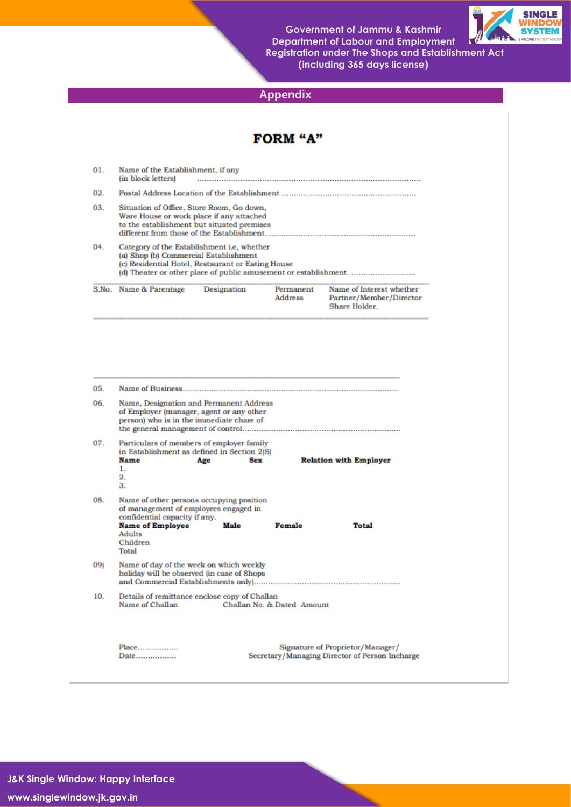**Government of Jammu & Kashmir Department of Labour and Employment Registration under The Shops and Establishment Act (including 365 days license)**



## **Appendix**

|                          |                                                                                                                                                                                                                                                                     |             | <b>FORM "A"</b>             |                                                                                    |  |  |  |  |
|--------------------------|---------------------------------------------------------------------------------------------------------------------------------------------------------------------------------------------------------------------------------------------------------------------|-------------|-----------------------------|------------------------------------------------------------------------------------|--|--|--|--|
| 01.                      | Name of the Establishment, if any<br>(in block letters)                                                                                                                                                                                                             |             |                             |                                                                                    |  |  |  |  |
| 02.                      |                                                                                                                                                                                                                                                                     |             |                             |                                                                                    |  |  |  |  |
| 03.                      | Situation of Office, Store Room, Go down,<br>Ware House or work place if any attached<br>to the establishment but situated premises                                                                                                                                 |             |                             |                                                                                    |  |  |  |  |
| 04.                      | Category of the Establishment i.e. whether<br>(a) Shop (b) Commercial Establishment<br>(c) Residential Hotel, Restaurant or Eating House<br>(d) Theater or other place of public amusement or establishment.                                                        |             |                             |                                                                                    |  |  |  |  |
|                          | S.No. Name & Parentage                                                                                                                                                                                                                                              | Designation | Permanent<br><b>Address</b> | Name of Interest whether<br>Partner/Member/Director<br>Share Holder.               |  |  |  |  |
| 05.<br>06.<br>07.<br>08. | Name, Designation and Permanent Address<br>of Employer (manager, agent or any other<br>person) who is in the immediate chare of<br>Particulars of members of employer family<br>in Establishment as defined in Section 2(S)<br><b>Name</b><br>Age<br>1.<br>2.<br>3. | <b>Sex</b>  |                             | <b>Relation with Employer</b>                                                      |  |  |  |  |
|                          | Name of other persons occupying position<br>of management of employees engaged in<br>confidential capacity if any.<br><b>Name of Employee</b><br>Adults<br>Children<br>Total                                                                                        | Male        | <b>Female</b>               | Total                                                                              |  |  |  |  |
| 09)                      | Name of day of the week on which weekly<br>holiday will be observed (in case of Shops                                                                                                                                                                               |             |                             |                                                                                    |  |  |  |  |
| 10.                      | Details of remittance enclose copy of Challan<br>Name of Challan                                                                                                                                                                                                    |             | Challan No. & Dated Amount  |                                                                                    |  |  |  |  |
|                          | Place<br>Date                                                                                                                                                                                                                                                       |             |                             | Signature of Proprietor/Manager/<br>Secretary/Managing Director of Person Incharge |  |  |  |  |